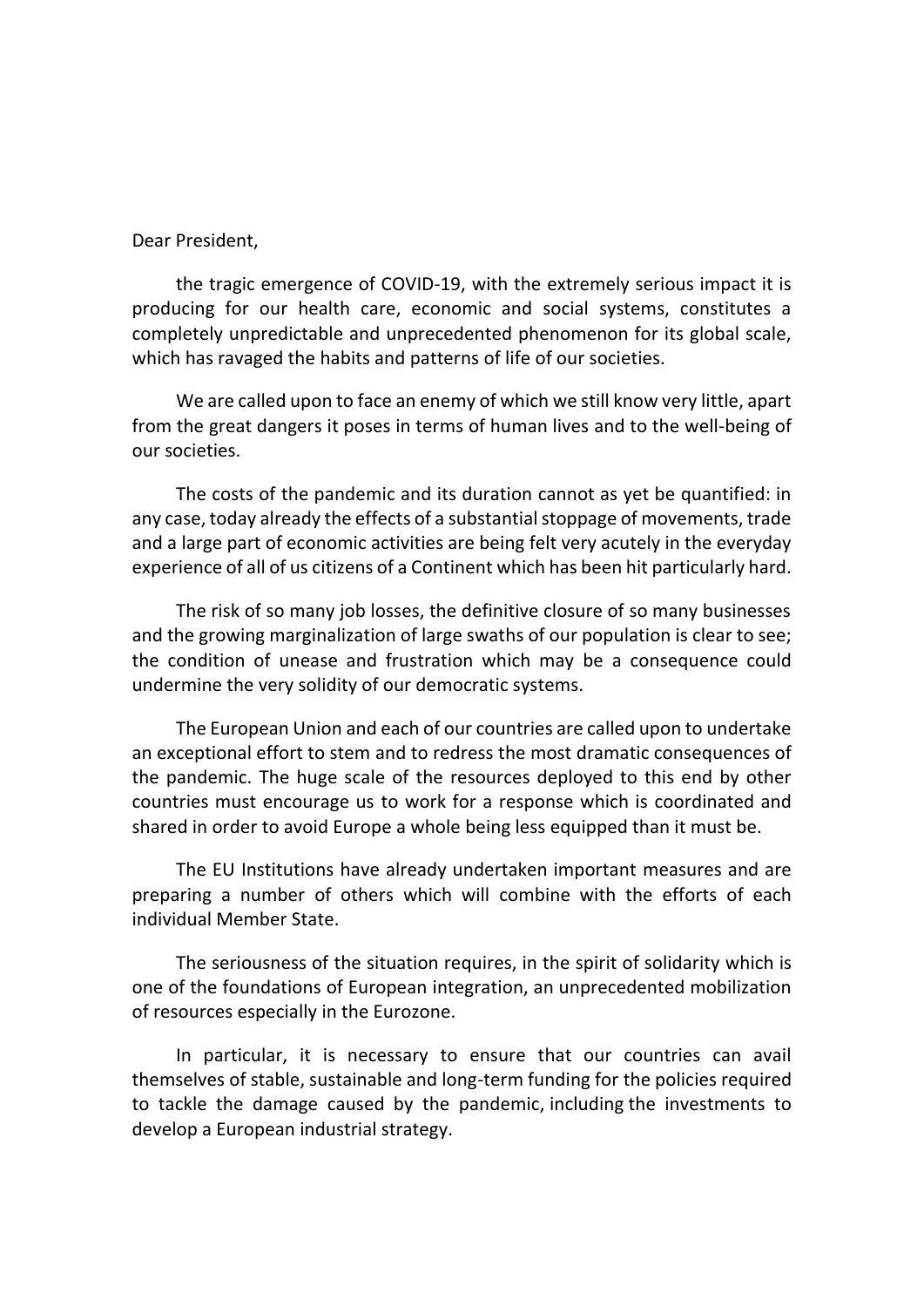Dear President,

the tragic emergence of COVID-19, with the extremely serious impact it is producing for our health care, economic and social systems, constitutes a completely unpredictable and unprecedented phenomenon for its global scale, which has ravaged the habits and patterns of life of our societies.

We are called upon to face an enemy of which we still know very little, apart from the great dangers it poses in terms of human lives and to the well-being of our societies.

The costs of the pandemic and its duration cannot as yet be quantified: in any case, today already the effects of a substantial stoppage of movements, trade and a large part of economic activities are being felt very acutely in the everyday experience of all of us citizens of a Continent which has been hit particularly hard.

The risk of so many job losses, the definitive closure of so many businesses and the growing marginalization of large swaths of our population is clear to see; the condition of unease and frustration which may be a consequence could undermine the very solidity of our democratic systems.

The European Union and each of our countries are called upon to undertake an exceptional effort to stem and to redress the most dramatic consequences of the pandemic. The huge scale of the resources deployed to this end by other countries must encourage us to work for a response which is coordinated and shared in order to avoid Europe a whole being less equipped than it must be.

The EU Institutions have already undertaken important measures and are preparing a number of others which will combine with the efforts of each individual Member State.

The seriousness of the situation requires, in the spirit of solidarity which is one of the foundations of European integration, an unprecedented mobilization of resources especially in the Eurozone.

In particular, it is necessary to ensure that our countries can avail themselves of stable, sustainable and long-term funding for the policies required to tackle the damage caused by the pandemic, including the investments to develop a European industrial strategy.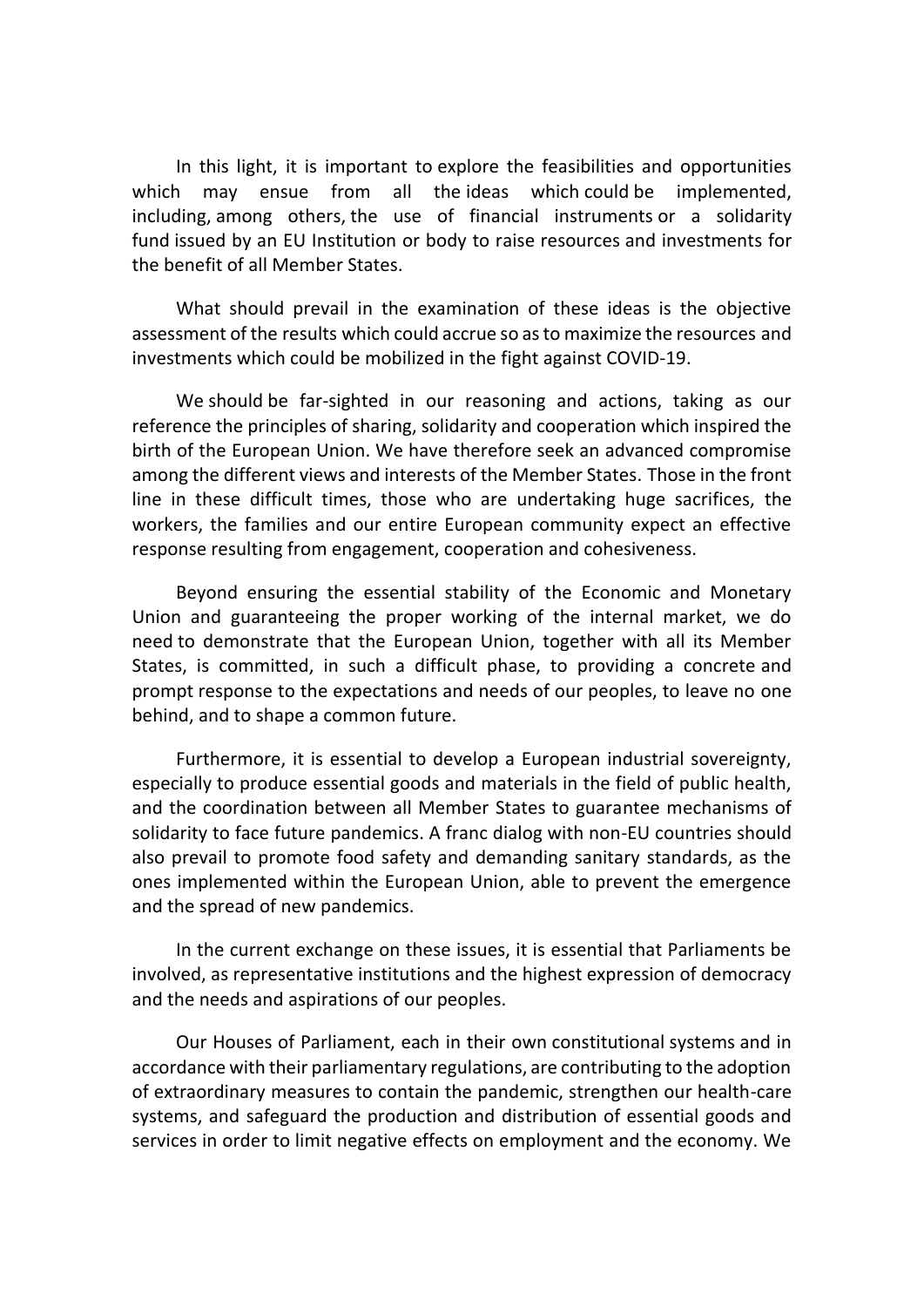In this light, it is important to explore the feasibilities and opportunities which may ensue from all the ideas which could be implemented, including, among others, the use of financial instruments or a solidarity fund issued by an EU Institution or body to raise resources and investments for the benefit of all Member States.

What should prevail in the examination of these ideas is the objective assessment of the results which could accrue so as to maximize the resources and investments which could be mobilized in the fight against COVID-19.

We should be far-sighted in our reasoning and actions, taking as our reference the principles of sharing, solidarity and cooperation which inspired the birth of the European Union. We have therefore seek an advanced compromise among the different views and interests of the Member States. Those in the front line in these difficult times, those who are undertaking huge sacrifices, the workers, the families and our entire European community expect an effective response resulting from engagement, cooperation and cohesiveness.

Beyond ensuring the essential stability of the Economic and Monetary Union and guaranteeing the proper working of the internal market, we do need to demonstrate that the European Union, together with all its Member States, is committed, in such a difficult phase, to providing a concrete and prompt response to the expectations and needs of our peoples, to leave no one behind, and to shape a common future.

Furthermore, it is essential to develop a European industrial sovereignty, especially to produce essential goods and materials in the field of public health, and the coordination between all Member States to guarantee mechanisms of solidarity to face future pandemics. A franc dialog with non-EU countries should also prevail to promote food safety and demanding sanitary standards, as the ones implemented within the European Union, able to prevent the emergence and the spread of new pandemics.

In the current exchange on these issues, it is essential that Parliaments be involved, as representative institutions and the highest expression of democracy and the needs and aspirations of our peoples.

Our Houses of Parliament, each in their own constitutional systems and in accordance with their parliamentary regulations, are contributing to the adoption of extraordinary measures to contain the pandemic, strengthen our health-care systems, and safeguard the production and distribution of essential goods and services in order to limit negative effects on employment and the economy. We